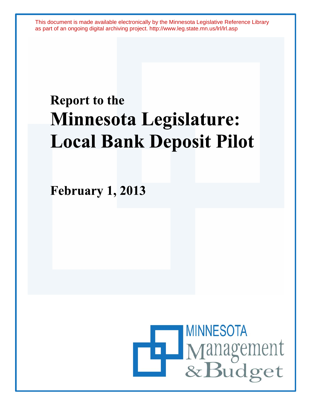This document is made available electronically by the Minnesota Legislative Reference Library as part of an ongoing digital archiving project. http://www.leg.state.mn.us/lrl/lrl.asp

# **Report to the Minnesota Legislature: Local Bank Deposit Pilot**

**February 1, 2013** 

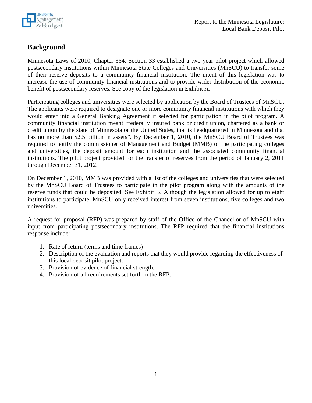

### **Background**

Minnesota Laws of 2010, Chapter 364, Section 33 established a two year pilot project which allowed postsecondary institutions within Minnesota State Colleges and Universities (MnSCU) to transfer some of their reserve deposits to a community financial institution. The intent of this legislation was to increase the use of community financial institutions and to provide wider distribution of the economic benefit of postsecondary reserves. See copy of the legislation in Exhibit A.

Participating colleges and universities were selected by application by the Board of Trustees of MnSCU. The applicants were required to designate one or more community financial institutions with which they would enter into a General Banking Agreement if selected for participation in the pilot program. A community financial institution meant "federally insured bank or credit union, chartered as a bank or credit union by the state of Minnesota or the United States, that is headquartered in Minnesota and that has no more than \$2.5 billion in assets". By December 1, 2010, the MnSCU Board of Trustees was required to notify the commissioner of Management and Budget (MMB) of the participating colleges and universities, the deposit amount for each institution and the associated community financial institutions. The pilot project provided for the transfer of reserves from the period of January 2, 2011 through December 31, 2012.

On December 1, 2010, MMB was provided with a list of the colleges and universities that were selected by the MnSCU Board of Trustees to participate in the pilot program along with the amounts of the reserve funds that could be deposited. See Exhibit B. Although the legislation allowed for up to eight institutions to participate, MnSCU only received interest from seven institutions, five colleges and two universities.

A request for proposal (RFP) was prepared by staff of the Office of the Chancellor of MnSCU with input from participating postsecondary institutions. The RFP required that the financial institutions response include:

- 1. Rate of return (terms and time frames)
- 2. Description of the evaluation and reports that they would provide regarding the effectiveness of this local deposit pilot project.
- 3. Provision of evidence of financial strength.
- 4. Provision of all requirements set forth in the RFP.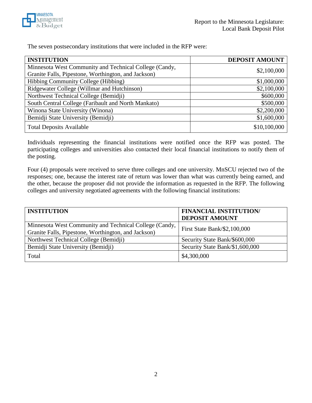

The seven postsecondary institutions that were included in the RFP were:

| <b>INSTITUTION</b>                                     | <b>DEPOSIT AMOUNT</b> |
|--------------------------------------------------------|-----------------------|
| Minnesota West Community and Technical College (Candy, | \$2,100,000           |
| Granite Falls, Pipestone, Worthington, and Jackson)    |                       |
| Hibbing Community College (Hibbing)                    | \$1,000,000           |
| Ridgewater College (Willmar and Hutchinson)            | \$2,100,000           |
| Northwest Technical College (Bemidji)                  | \$600,000             |
| South Central College (Faribault and North Mankato)    | \$500,000             |
| Winona State University (Winona)                       | \$2,200,000           |
| Bemidji State University (Bemidji)                     | \$1,600,000           |
| <b>Total Deposits Available</b>                        | \$10,100,000          |

Individuals representing the financial institutions were notified once the RFP was posted. The participating colleges and universities also contacted their local financial institutions to notify them of the posting.

Four (4) proposals were received to serve three colleges and one university. MnSCU rejected two of the responses; one, because the interest rate of return was lower than what was currently being earned, and the other, because the proposer did not provide the information as requested in the RFP. The following colleges and university negotiated agreements with the following financial institutions:

| <b>INSTITUTION</b>                                     | <b>FINANCIAL INSTITUTION/</b>   |
|--------------------------------------------------------|---------------------------------|
|                                                        | <b>DEPOSIT AMOUNT</b>           |
| Minnesota West Community and Technical College (Candy, | First State Bank/\$2,100,000    |
| Granite Falls, Pipestone, Worthington, and Jackson)    |                                 |
| Northwest Technical College (Bemidji)                  | Security State Bank/\$600,000   |
| Bemidji State University (Bemidji)                     | Security State Bank/\$1,600,000 |
| Total                                                  | \$4,300,000                     |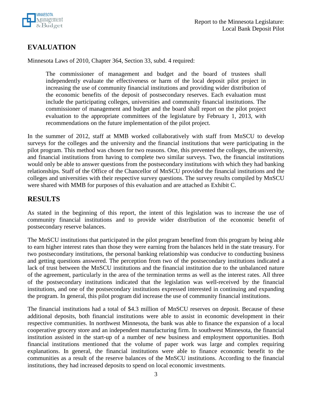

## **EVALUATION**

Minnesota Laws of 2010, Chapter 364, Section 33, subd. 4 required:

The commissioner of management and budget and the board of trustees shall independently evaluate the effectiveness or harm of the local deposit pilot project in increasing the use of community financial institutions and providing wider distribution of the economic benefits of the deposit of postsecondary reserves. Each evaluation must include the participating colleges, universities and community financial institutions. The commissioner of management and budget and the board shall report on the pilot project evaluation to the appropriate committees of the legislature by February 1, 2013, with recommendations on the future implementation of the pilot project.

In the summer of 2012, staff at MMB worked collaboratively with staff from MnSCU to develop surveys for the colleges and the university and the financial institutions that were participating in the pilot program. This method was chosen for two reasons. One, this prevented the colleges, the university, and financial institutions from having to complete two similar surveys. Two, the financial institutions would only be able to answer questions from the postsecondary institutions with which they had banking relationships. Staff of the Office of the Chancellor of MnSCU provided the financial institutions and the colleges and universities with their respective survey questions. The survey results compiled by MnSCU were shared with MMB for purposes of this evaluation and are attached as Exhibit C.

#### **RESULTS**

As stated in the beginning of this report, the intent of this legislation was to increase the use of community financial institutions and to provide wider distribution of the economic benefit of postsecondary reserve balances.

The MnSCU institutions that participated in the pilot program benefited from this program by being able to earn higher interest rates than those they were earning from the balances held in the state treasury. For two postsecondary institutions, the personal banking relationship was conducive to conducting business and getting questions answered. The perception from two of the postsecondary institutions indicated a lack of trust between the MnSCU institutions and the financial institution due to the unbalanced nature of the agreement, particularly in the area of the termination terms as well as the interest rates. All three of the postsecondary institutions indicated that the legislation was well-received by the financial institutions, and one of the postsecondary institutions expressed interested in continuing and expanding the program. In general, this pilot program did increase the use of community financial institutions.

The financial institutions had a total of \$4.3 million of MnSCU reserves on deposit. Because of these additional deposits, both financial institutions were able to assist in economic development in their respective communities. In northwest Minnesota, the bank was able to finance the expansion of a local cooperative grocery store and an independent manufacturing firm. In southwest Minnesota, the financial institution assisted in the start-up of a number of new business and employment opportunities. Both financial institutions mentioned that the volume of paper work was large and complex requiring explanations. In general, the financial institutions were able to finance economic benefit to the communities as a result of the reserve balances of the MnSCU institutions. According to the financial institutions, they had increased deposits to spend on local economic investments.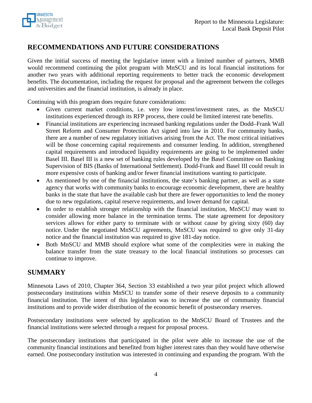

### **RECOMMENDATIONS AND FUTURE CONSIDERATIONS**

Given the initial success of meeting the legislative intent with a limited number of partners, MMB would recommend continuing the pilot program with MnSCU and its local financial institutions for another two years with additional reporting requirements to better track the economic development benefits. The documentation, including the request for proposal and the agreement between the colleges and universities and the financial institution, is already in place.

Continuing with this program does require future considerations:

- Given current market conditions, i.e. very low interest/investment rates, as the MnSCU institutions experienced through its RFP process, there could be limited interest rate benefits.
- Financial institutions are experiencing increased banking regulations under the Dodd–Frank Wall Street Reform and Consumer Protection Act signed into law in 2010. For community banks, there are a number of new regulatory initiatives arising from the Act. The most critical initiatives will be those concerning capital requirements and consumer lending. In addition, strengthened capital requirements and introduced liquidity requirements are going to be implemented under Basel III. Basel III is a new set of banking rules developed by the Basel Committee on Banking Supervision of BIS (Banks of International Settlement). Dodd-Frank and Basel III could result in more expensive costs of banking and/or fewer financial institutions wanting to participate.
- As mentioned by one of the financial institutions, the state's banking partner, as well as a state agency that works with community banks to encourage economic development, there are healthy banks in the state that have the available cash but there are fewer opportunities to lend the money due to new regulations, capital reserve requirements, and lower demand for capital.
- In order to establish stronger relationship with the financial institution, MnSCU may want to consider allowing more balance in the termination terms. The state agreement for depository services allows for either party to terminate with or without cause by giving sixty (60) day notice. Under the negotiated MnSCU agreements, MnSCU was required to give only 31-day notice and the financial institution was required to give 181-day notice.
- Both MnSCU and MMB should explore what some of the complexities were in making the balance transfer from the state treasury to the local financial institutions so processes can continue to improve.

#### **SUMMARY**

Minnesota Laws of 2010, Chapter 364, Section 33 established a two year pilot project which allowed postsecondary institutions within MnSCU to transfer some of their reserve deposits to a community financial institution. The intent of this legislation was to increase the use of community financial institutions and to provide wider distribution of the economic benefit of postsecondary reserves.

Postsecondary institutions were selected by application to the MnSCU Board of Trustees and the financial institutions were selected through a request for proposal process.

The postsecondary institutions that participated in the pilot were able to increase the use of the community financial institutions and benefited from higher interest rates than they would have otherwise earned. One postsecondary institution was interested in continuing and expanding the program. With the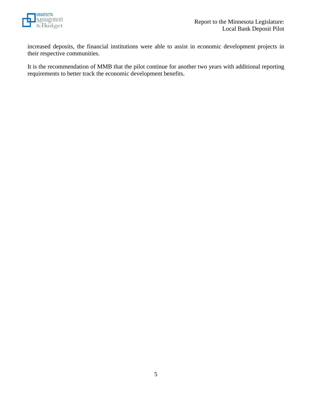

increased deposits, the financial institutions were able to assist in economic development projects in their respective communities.

It is the recommendation of MMB that the pilot continue for another two years with additional reporting requirements to better track the economic development benefits.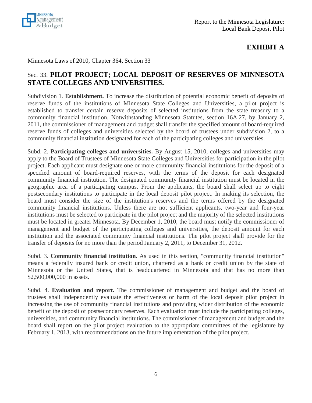

### **EXHIBIT A**

Minnesota Laws of 2010, Chapter 364, Section 33

#### Sec. 33. **PILOT PROJECT; LOCAL DEPOSIT OF RESERVES OF MINNESOTA STATE COLLEGES AND UNIVERSITIES.**

Subdivision 1. **Establishment.** To increase the distribution of potential economic benefit of deposits of reserve funds of the institutions of Minnesota State Colleges and Universities, a pilot project is established to transfer certain reserve deposits of selected institutions from the state treasury to a community financial institution. Notwithstanding Minnesota Statutes, section 16A.27, by January 2, 2011, the commissioner of management and budget shall transfer the specified amount of board-required reserve funds of colleges and universities selected by the board of trustees under subdivision 2, to a community financial institution designated for each of the participating colleges and universities.

Subd. 2. **Participating colleges and universities.** By August 15, 2010, colleges and universities may apply to the Board of Trustees of Minnesota State Colleges and Universities for participation in the pilot project. Each applicant must designate one or more community financial institutions for the deposit of a specified amount of board-required reserves, with the terms of the deposit for each designated community financial institution. The designated community financial institution must be located in the geographic area of a participating campus. From the applicants, the board shall select up to eight postsecondary institutions to participate in the local deposit pilot project. In making its selection, the board must consider the size of the institution's reserves and the terms offered by the designated community financial institutions. Unless there are not sufficient applicants, two-year and four-year institutions must be selected to participate in the pilot project and the majority of the selected institutions must be located in greater Minnesota. By December 1, 2010, the board must notify the commissioner of management and budget of the participating colleges and universities, the deposit amount for each institution and the associated community financial institutions. The pilot project shall provide for the transfer of deposits for no more than the period January 2, 2011, to December 31, 2012.

Subd. 3. **Community financial institution.** As used in this section, "community financial institution" means a federally insured bank or credit union, chartered as a bank or credit union by the state of Minnesota or the United States, that is headquartered in Minnesota and that has no more than \$2,500,000,000 in assets.

Subd. 4. **Evaluation and report.** The commissioner of management and budget and the board of trustees shall independently evaluate the effectiveness or harm of the local deposit pilot project in increasing the use of community financial institutions and providing wider distribution of the economic benefit of the deposit of postsecondary reserves. Each evaluation must include the participating colleges, universities, and community financial institutions. The commissioner of management and budget and the board shall report on the pilot project evaluation to the appropriate committees of the legislature by February 1, 2013, with recommendations on the future implementation of the pilot project.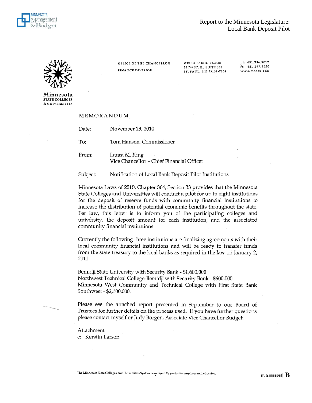

WELLS FARGO PLACE

30 7th ST. E., SUITE 350

ST. PAUL, MN 55101-7804

ph 651.296.8012

 $\frac{1}{12}$  651.297.5550

www.mnscu.edu



Minnesota **STATE COLLEGES** & UNIVERSITIES

#### MEMORANDUM

| Date: | November 29, 2010        |
|-------|--------------------------|
| To:   | Tom Hanson, Commissioner |
| From: | Laura M. King            |

Vice Chancellor - Chief Financial Officer

OFFICE OF THE CHANCELLOR

**FINANCE DIVISION** 

Subject: Notification of Local Bank Deposit Pilot Institutions

Minnesota Laws of 2010, Chapter 364, Section 33 provides that the Minnesota State Colleges and Universities will conduct a pilot for up to eight institutions for the deposit of reserve funds with community financial institutions to increase the distribution of potential economic benefits throughout the state. Per law, this letter is to inform you of the participating colleges and university, the deposit amount for each institution, and the associated community financial institutions.

Currently the following three institutions are finalizing agreements with their local community financial institutions and will be ready to transfer funds from the state treasury to the local banks as required in the law on January 2, 2011:

Bemidji State University with Security Bank - \$1,600,000 Northwest Technical College-Bemidji with Security Bank - \$600,000 Minnesota West Community and Technical College with First State Bank Southwest - \$2,100,000.

Please see the attached report presented in September to our Board of Trustees for further details on the process used. If you have further questions please contact myself or Judy Borgen, Associate Vice Chancellor Budget.

Attachment c: Kerstin Larson

The Minnesota State Colleges and Universities System is an Equal Opportunity employer and educator.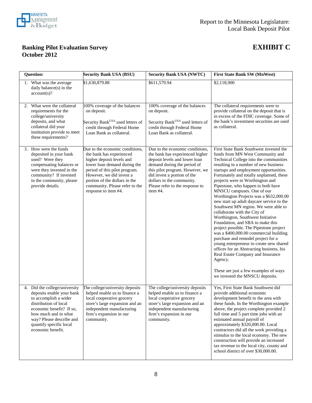

#### **Banking Pilot Evaluation Survey EXHIBIT C October 2012**

| <b>Question:</b>                                                                                                                                                                                                                             | <b>Security Bank USA (BSU)</b>                                                                                                                                                                                                                                                   | <b>Security Bank USA (NWTC)</b>                                                                                                                                                                                                                                                  | First State Bank SW (MnWest)                                                                                                                                                                                                                                                                                                                                                                                                                                                                                                                                                                                                                                                                                                                                                                                                                                                                                                                        |
|----------------------------------------------------------------------------------------------------------------------------------------------------------------------------------------------------------------------------------------------|----------------------------------------------------------------------------------------------------------------------------------------------------------------------------------------------------------------------------------------------------------------------------------|----------------------------------------------------------------------------------------------------------------------------------------------------------------------------------------------------------------------------------------------------------------------------------|-----------------------------------------------------------------------------------------------------------------------------------------------------------------------------------------------------------------------------------------------------------------------------------------------------------------------------------------------------------------------------------------------------------------------------------------------------------------------------------------------------------------------------------------------------------------------------------------------------------------------------------------------------------------------------------------------------------------------------------------------------------------------------------------------------------------------------------------------------------------------------------------------------------------------------------------------------|
| 1. What was the average<br>daily balance(s) in the<br>account(s)?                                                                                                                                                                            | \$1,630,879.88                                                                                                                                                                                                                                                                   | \$611,579.94                                                                                                                                                                                                                                                                     | \$2,118,900                                                                                                                                                                                                                                                                                                                                                                                                                                                                                                                                                                                                                                                                                                                                                                                                                                                                                                                                         |
| 2. What were the collateral<br>requirements for the<br>college/university<br>deposits, and what<br>collateral did your<br>institution provide to meet<br>these requirements?                                                                 | 100% coverage of the balances<br>on deposit.<br>Security Bank <sup>USA</sup> used letters of<br>credit through Federal Home<br>Loan Bank as collateral.                                                                                                                          | 100% coverage of the balances<br>on deposit.<br>Security Bank <sup>USA</sup> used letters of<br>credit through Federal Home<br>Loan Bank as collateral.                                                                                                                          | The collateral requirements were to<br>provide collateral on the deposit that is<br>in excess of the FDIC coverage. Some of<br>the bank's investment securities are used<br>as collateral.                                                                                                                                                                                                                                                                                                                                                                                                                                                                                                                                                                                                                                                                                                                                                          |
| 3. How were the funds<br>deposited in your bank<br>used? Were they<br>compensating balances or<br>were they invested in the<br>community? If invested<br>in the community, please<br>provide details.                                        | Due to the economic conditions,<br>the bank has experienced<br>higher deposit levels and<br>lower loan demand during the<br>period of this pilot program.<br>However, we did invest a<br>portion of the dollars in the<br>community. Please refer to the<br>response to item #4. | Due to the economic conditions,<br>the bank has experienced higher<br>deposit levels and lower loan<br>demand during the period of<br>this pilot program. However, we<br>did invest a portion of the<br>dollars in the community.<br>Please refer to the response to<br>item #4. | First State Bank Southwest invested the<br>funds from MN West Community and<br>Technical College into the communities<br>resulting in a number of new business<br>startups and employment opportunities.<br>Fortunately and totally unplanned, these<br>projects were in Worthington and<br>Pipestone, who happen to both have<br>MNSCU campuses. One of our<br>Worthington Projects was a \$632,000.00<br>new start up adult daycare service to the<br>Southwest MN region. We were able to<br>collaborate with the City of<br>Worthington, Southwest Initiative<br>Foundation, and SBA to make this<br>project possible. The Pipestone project<br>was a \$400,000.00 commercial building<br>purchase and remodel project for a<br>young entrepreneur to create new shared<br>offices for an Abstracting business, his<br>Real Estate Company and Insurance<br>Agency.<br>These are just a few examples of ways<br>we invested the MNSCU deposits. |
| 4. Did the college/university<br>deposits enable your bank<br>to accomplish a wider<br>distribution of local<br>economic benefit? If so,<br>how much and in what<br>way? Please describe and<br>quantify specific local<br>economic benefit. | The college/university deposits<br>helped enable us to finance a<br>local cooperative grocery<br>store's large expansion and an<br>independent manufacturing<br>firm's expansion in our<br>community.                                                                            | The college/university deposits<br>helped enable us to finance a<br>local cooperative grocery<br>store's large expansion and an<br>independent manufacturing<br>firm's expansion in our<br>community.                                                                            | Yes, First State Bank Southwest did<br>provide additional economic<br>development benefit to the area with<br>these funds. In the Worthington example<br>above, the project complete provided 2<br>full time and 5 part time jobs with an<br>estimated annual payroll of<br>approximately \$320,000.00. Local<br>contractors did all the work providing a<br>stimulus to the local economy. The new<br>construction will provide an increased<br>tax revenue to the local city, county and<br>school district of over \$30,000.00.                                                                                                                                                                                                                                                                                                                                                                                                                  |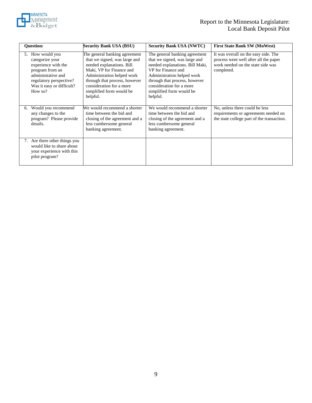

| <b>Ouestion:</b>                                                                                                                                                       | <b>Security Bank USA (BSU)</b>                                                                                                                                                                                                                             | <b>Security Bank USA (NWTC)</b>                                                                                                                                                                                                                            | <b>First State Bank SW (MnWest)</b>                                                                                              |
|------------------------------------------------------------------------------------------------------------------------------------------------------------------------|------------------------------------------------------------------------------------------------------------------------------------------------------------------------------------------------------------------------------------------------------------|------------------------------------------------------------------------------------------------------------------------------------------------------------------------------------------------------------------------------------------------------------|----------------------------------------------------------------------------------------------------------------------------------|
| 5. How would you<br>categorize your<br>experience with the<br>program from an<br>administrative and<br>regulatory perspective?<br>Was it easy or difficult?<br>How so? | The general banking agreement<br>that we signed, was large and<br>needed explanations. Bill<br>Maki, VP for Finance and<br>Administration helped work<br>through that process, however<br>consideration for a more<br>simplified form would be<br>helpful. | The general banking agreement<br>that we signed, was large and<br>needed explanations. Bill Maki,<br>VP for Finance and<br>Administration helped work<br>through that process, however<br>consideration for a more<br>simplified form would be<br>helpful. | It was overall on the easy side. The<br>process went well after all the paper<br>work needed on the state side was<br>completed. |
| Would you recommend<br>6.<br>any changes to the<br>program? Please provide<br>details.                                                                                 | We would recommend a shorter<br>time between the bid and<br>closing of the agreement and a<br>less cumbersome general<br>banking agreement.                                                                                                                | We would recommend a shorter<br>time between the bid and<br>closing of the agreement and a<br>less cumbersome general<br>banking agreement.                                                                                                                | No, unless there could be less<br>requirements or agreements needed on<br>the state college part of the transaction.             |
| 7. Are there other things you<br>would like to share about<br>your experience with this<br>pilot program?                                                              |                                                                                                                                                                                                                                                            |                                                                                                                                                                                                                                                            |                                                                                                                                  |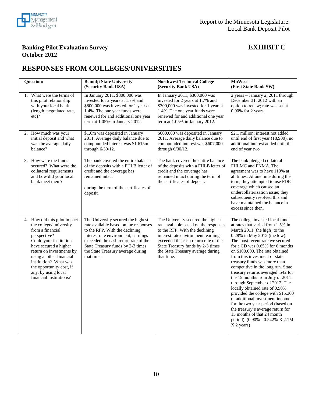

#### **Banking Pilot Evaluation Survey EXHIBIT C October 2012**

### **RESPONSES FROM COLLEGES/UNIVERSITIES**

| <b>Question:</b>                                                                                                                                                                                                                                                                                             | <b>Bemidji State University</b><br>(Security Bank USA)                                                                                                                                                                                                                               | <b>Northwest Technical College</b><br>(Security Bank USA)                                                                                                                                                                                                                            | <b>MnWest</b><br>(First State Bank SW)                                                                                                                                                                                                                                                                                                                                                                                                                                                                                                                                                                                                                                                                                               |
|--------------------------------------------------------------------------------------------------------------------------------------------------------------------------------------------------------------------------------------------------------------------------------------------------------------|--------------------------------------------------------------------------------------------------------------------------------------------------------------------------------------------------------------------------------------------------------------------------------------|--------------------------------------------------------------------------------------------------------------------------------------------------------------------------------------------------------------------------------------------------------------------------------------|--------------------------------------------------------------------------------------------------------------------------------------------------------------------------------------------------------------------------------------------------------------------------------------------------------------------------------------------------------------------------------------------------------------------------------------------------------------------------------------------------------------------------------------------------------------------------------------------------------------------------------------------------------------------------------------------------------------------------------------|
| 1. What were the terms of<br>this pilot relationship<br>with your local bank<br>(length, negotiated rate,<br>$etc$ ?                                                                                                                                                                                         | In January 2011, \$800,000 was<br>invested for 2 years at 1.7% and<br>\$800,000 was invested for 1 year at<br>1.4%. The one year funds were<br>renewed for and additional one year<br>term at 1.05% in January 2012.                                                                 | In January 2011, \$300,000 was<br>invested for 2 years at 1.7% and<br>\$300,000 was invested for 1 year at<br>1.4%. The one year funds were<br>renewed for and additional one year<br>term at 1.05% in January 2012.                                                                 | 2 years - January 2, 2011 through<br>December 31, 2012 with an<br>option to renew; rate was set at<br>0.90% for 2 years                                                                                                                                                                                                                                                                                                                                                                                                                                                                                                                                                                                                              |
| 2. How much was your<br>initial deposit and what<br>was the average daily<br>balance?                                                                                                                                                                                                                        | \$1.6m was deposited in January<br>2011. Average daily balance due to<br>compounded interest was \$1.615m<br>through 6/30/12.                                                                                                                                                        | \$600,000 was deposited in January<br>2011. Average daily balance due to<br>compounded interest was \$607,000<br>through 6/30/12.                                                                                                                                                    | \$2.1 million; interest not added<br>until end of first year (18,900), no<br>additional interest added until the<br>end of year two                                                                                                                                                                                                                                                                                                                                                                                                                                                                                                                                                                                                  |
| 3. How were the funds<br>secured? What were the<br>collateral requirements<br>and how did your local<br>bank meet them?                                                                                                                                                                                      | The bank covered the entire balance<br>of the deposits with a FHLB letter of<br>credit and the coverage has<br>remained intact<br>during the term of the certificates of<br>deposit.                                                                                                 | The bank covered the entire balance<br>of the deposits with a FHLB letter of<br>credit and the coverage has<br>remained intact during the term of<br>the certificates of deposit.                                                                                                    | The bank pledged collateral -<br>FHLMC and FNMA. The<br>agreement was to have 110% at<br>all times. At one time during the<br>term, they attempted to use FDIC<br>coverage which caused an<br>undercollaterization issue; they<br>subsequently resolved this and<br>have maintained the balance in<br>excess since then.                                                                                                                                                                                                                                                                                                                                                                                                             |
| 4. How did this pilot impact<br>the college/ university<br>from a financial<br>perspective?<br>Could your institution<br>have secured a higher<br>return on investments by<br>using another financial<br>institution? What was<br>the opportunity cost, if<br>any, by using local<br>financial institutions? | The University secured the highest<br>rate available based on the responses<br>to the RFP. With the declining<br>interest rate environment, earnings<br>exceeded the cash return rate of the<br>State Treasury funds by 2-3 times<br>the State Treasury average during<br>that time. | The University secured the highest<br>rate available based on the responses<br>to the RFP. With the declining<br>interest rate environment, earnings<br>exceeded the cash return rate of the<br>State Treasury funds by 2-3 times<br>the State Treasury average during<br>that time. | The college invested local funds<br>at rates that varied from 1.5% in<br>March 2011 (the high) to the<br>0.28% in May 2012 (the low).<br>The most recent rate we secured<br>for a CD was 0.65% for 6 months<br>on \$100,000. The rate obtained<br>from this investment of state<br>treasury funds was more than<br>competitive in the long run. State<br>treasury returns averaged .542 for<br>the 15 months from July of 2011<br>through September of 2012. The<br>locally obtained rate of 0.90%<br>provided the college with \$15,360<br>of additional investment income<br>for the two year period (based on<br>the treasury's average return for<br>15 months of that 24 month<br>period). (0.90% - 0.542% X 2.1M<br>X 2 years) |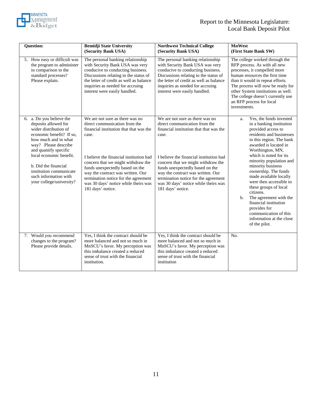

| <b>Question:</b>                                                                                                                                                                                                                                                                                                  | <b>Bemidji State University</b><br>(Security Bank USA)                                                                                                                                                                                                                                                                                                                             | <b>Northwest Technical College</b><br>(Security Bank USA)                                                                                                                                                                                                                                                                                                                          | <b>MnWest</b><br>(First State Bank SW) |                                                                                                                                                                                                                                                                                                                                                                                                                                                                                                                      |
|-------------------------------------------------------------------------------------------------------------------------------------------------------------------------------------------------------------------------------------------------------------------------------------------------------------------|------------------------------------------------------------------------------------------------------------------------------------------------------------------------------------------------------------------------------------------------------------------------------------------------------------------------------------------------------------------------------------|------------------------------------------------------------------------------------------------------------------------------------------------------------------------------------------------------------------------------------------------------------------------------------------------------------------------------------------------------------------------------------|----------------------------------------|----------------------------------------------------------------------------------------------------------------------------------------------------------------------------------------------------------------------------------------------------------------------------------------------------------------------------------------------------------------------------------------------------------------------------------------------------------------------------------------------------------------------|
| 5. How easy or difficult was<br>the program to administer<br>in comparison to the<br>standard processes?<br>Please explain.                                                                                                                                                                                       | The personal banking relationship<br>with Security Bank USA was very<br>conducive to conducting business.<br>Discussions relating to the status of<br>the letter of credit as well as balance<br>inquiries as needed for accruing<br>interest were easily handled.                                                                                                                 | The personal banking relationship<br>with Security Bank USA was very<br>conducive to conducting business.<br>Discussions relating to the status of<br>the letter of credit as well as balance<br>inquiries as needed for accruing<br>interest were easily handled.                                                                                                                 | investments.                           | The college worked through the<br>RFP process. As with all new<br>processes, it compelled more<br>human resources the first time<br>than it would in repeat efforts.<br>The process will now be ready for<br>other System institutions as well.<br>The college doesn't currently use<br>an RFP process for local                                                                                                                                                                                                     |
| 6. a. Do you believe the<br>deposits allowed for<br>wider distribution of<br>economic benefit? If so,<br>how much and in what<br>way? Please describe<br>and quantify specific<br>local economic benefit.<br>b. Did the financial<br>institution communicate<br>such information with<br>your college/university? | We are not sure as there was no<br>direct communication from the<br>financial institution that that was the<br>case.<br>I believe the financial institution had<br>concern that we might withdraw the<br>funds unexpectedly based on the<br>way the contract was written. Our<br>termination notice for the agreement<br>was 30 days' notice while theirs was<br>181 days' notice. | We are not sure as there was no<br>direct communication from the<br>financial institution that that was the<br>case.<br>I believe the financial institution had<br>concern that we might withdraw the<br>funds unexpectedly based on the<br>way the contract was written. Our<br>termination notice for the agreement<br>was 30 days' notice while theirs was<br>181 days' notice. | a.<br>b.                               | Yes, the funds invested<br>in a banking institution<br>provided access to<br>residents and businesses<br>in this region. The bank<br>awarded is located in<br>Worthington, MN,<br>which is noted for its<br>minority population and<br>minority business<br>ownership. The funds<br>made available locally<br>were then accessible to<br>these groups of local<br>citizens.<br>The agreement with the<br>financial institution<br>provides for<br>communication of this<br>information at the close<br>of the pilot. |
| 7. Would you recommend<br>changes to the program?<br>Please provide details.                                                                                                                                                                                                                                      | Yes, I think the contract should be<br>more balanced and not so much in<br>MnSCU's favor. My perception was<br>this imbalance created a reduced<br>sense of trust with the financial<br>institution.                                                                                                                                                                               | Yes, I think the contract should be<br>more balanced and not so much in<br>MnSCU's favor. My perception was<br>this imbalance created a reduced<br>sense of trust with the financial<br>institution                                                                                                                                                                                | No.                                    |                                                                                                                                                                                                                                                                                                                                                                                                                                                                                                                      |